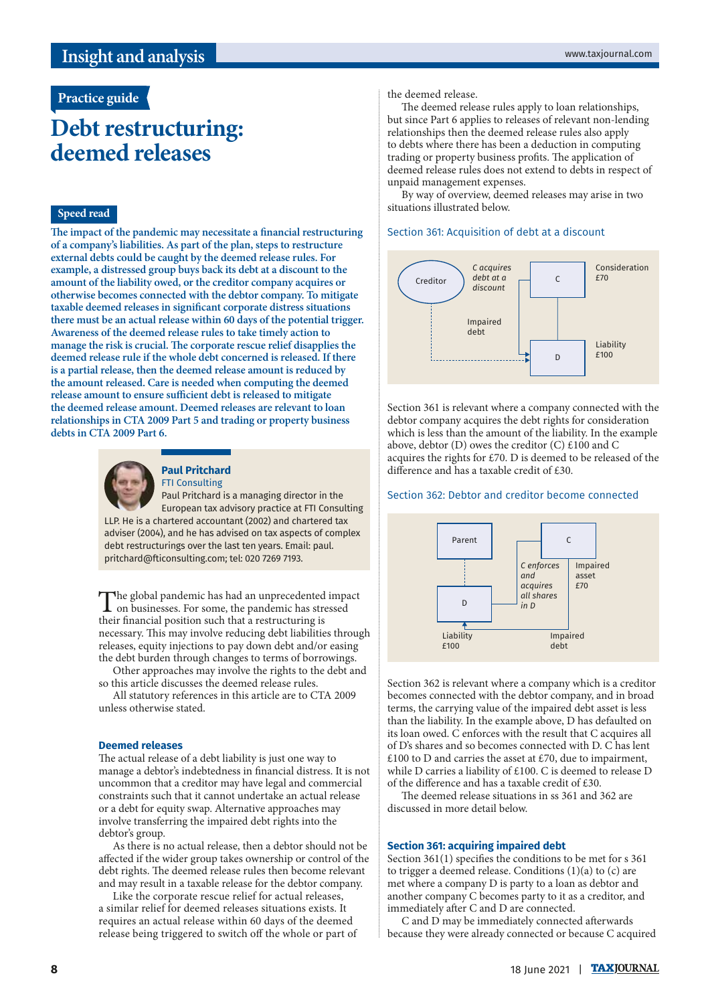# **Practice guide**

# **Debt restructuring: deemed releases**

## **Speed read**

**The impact of the pandemic may necessitate a financial restructuring of a company's liabilities. As part of the plan, steps to restructure external debts could be caught by the deemed release rules. For example, a distressed group buys back its debt at a discount to the amount of the liability owed, or the creditor company acquires or otherwise becomes connected with the debtor company. To mitigate taxable deemed releases in significant corporate distress situations there must be an actual release within 60 days of the potential trigger. Awareness of the deemed release rules to take timely action to manage the risk is crucial. The corporate rescue relief disapplies the deemed release rule if the whole debt concerned is released. If there is a partial release, then the deemed release amount is reduced by the amount released. Care is needed when computing the deemed release amount to ensure sufficient debt is released to mitigate the deemed release amount. Deemed releases are relevant to loan relationships in CTA 2009 Part 5 and trading or property business debts in CTA 2009 Part 6.**



## **Paul Pritchard**

FTI Consulting

Paul Pritchard is a managing director in the European tax advisory practice at FTI Consulting LLP. He is a chartered accountant (2002) and chartered tax adviser (2004), and he has advised on tax aspects of complex debt restructurings over the last ten years. Email: paul. pritchard@fticonsulting.com; tel: 020 7269 7193.

The global pandemic has had an unprecedented impact<br>on businesses. For some, the pandemic has stressed<br>that is foundational that a method with the stressed their financial position such that a restructuring is necessary. This may involve reducing debt liabilities through releases, equity injections to pay down debt and/or easing the debt burden through changes to terms of borrowings.

Other approaches may involve the rights to the debt and so this article discusses the deemed release rules.

All statutory references in this article are to CTA 2009 unless otherwise stated.

#### **Deemed releases**

The actual release of a debt liability is just one way to manage a debtor's indebtedness in financial distress. It is not uncommon that a creditor may have legal and commercial constraints such that it cannot undertake an actual release or a debt for equity swap. Alternative approaches may involve transferring the impaired debt rights into the debtor's group.

As there is no actual release, then a debtor should not be affected if the wider group takes ownership or control of the debt rights. The deemed release rules then become relevant and may result in a taxable release for the debtor company.

Like the corporate rescue relief for actual releases, a similar relief for deemed releases situations exists. It requires an actual release within 60 days of the deemed release being triggered to switch off the whole or part of

#### the deemed release.

The deemed release rules apply to loan relationships, but since Part 6 applies to releases of relevant non-lending relationships then the deemed release rules also apply to debts where there has been a deduction in computing trading or property business profits. The application of deemed release rules does not extend to debts in respect of unpaid management expenses.

By way of overview, deemed releases may arise in two situations illustrated below.

## Section 361: Acquisition of debt at a discount



Section 361 is relevant where a company connected with the debtor company acquires the debt rights for consideration which is less than the amount of the liability. In the example above, debtor (D) owes the creditor (C) £100 and C acquires the rights for £70. D is deemed to be released of the difference and has a taxable credit of £30.

#### Section 362: Debtor and creditor become connected



Section 362 is relevant where a company which is a creditor becomes connected with the debtor company, and in broad terms, the carrying value of the impaired debt asset is less than the liability. In the example above, D has defaulted on its loan owed. C enforces with the result that C acquires all of D's shares and so becomes connected with D. C has lent £100 to D and carries the asset at £70, due to impairment, while D carries a liability of £100. C is deemed to release D of the difference and has a taxable credit of £30.

The deemed release situations in ss 361 and 362 are discussed in more detail below.

#### **Section 361: acquiring impaired debt**

Section 361(1) specifies the conditions to be met for s 361 to trigger a deemed release. Conditions (1)(a) to (c) are met where a company D is party to a loan as debtor and another company C becomes party to it as a creditor, and immediately after C and D are connected.

C and D may be immediately connected afterwards because they were already connected or because C acquired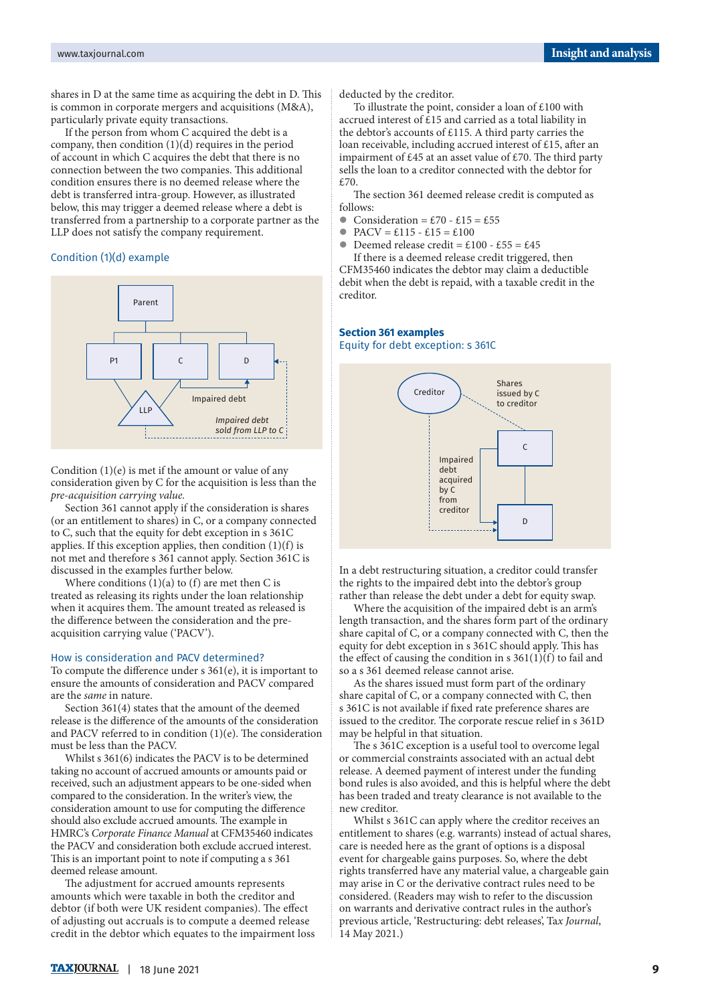shares in D at the same time as acquiring the debt in D. This is common in corporate mergers and acquisitions (M&A), particularly private equity transactions.

If the person from whom C acquired the debt is a company, then condition (1)(d) requires in the period of account in which C acquires the debt that there is no connection between the two companies. This additional condition ensures there is no deemed release where the debt is transferred intra-group. However, as illustrated below, this may trigger a deemed release where a debt is transferred from a partnership to a corporate partner as the LLP does not satisfy the company requirement.

#### Condition (1)(d) example



Condition  $(1)(e)$  is met if the amount or value of any consideration given by C for the acquisition is less than the *pre-acquisition carrying value.*

Section 361 cannot apply if the consideration is shares (or an entitlement to shares) in C, or a company connected to C, such that the equity for debt exception in s 361C applies. If this exception applies, then condition (1)(f) is not met and therefore s 361 cannot apply. Section 361C is discussed in the examples further below.

Where conditions  $(1)(a)$  to  $(f)$  are met then C is treated as releasing its rights under the loan relationship when it acquires them. The amount treated as released is the difference between the consideration and the preacquisition carrying value ('PACV').

#### How is consideration and PACV determined?

To compute the difference under s 361(e), it is important to ensure the amounts of consideration and PACV compared are the *same* in nature.

Section 361(4) states that the amount of the deemed release is the difference of the amounts of the consideration and PACV referred to in condition (1)(e). The consideration must be less than the PACV.

Whilst s 361(6) indicates the PACV is to be determined taking no account of accrued amounts or amounts paid or received, such an adjustment appears to be one-sided when compared to the consideration. In the writer's view, the consideration amount to use for computing the difference should also exclude accrued amounts. The example in HMRC's *Corporate Finance Manual* at CFM35460 indicates the PACV and consideration both exclude accrued interest. This is an important point to note if computing a s 361 deemed release amount.

The adjustment for accrued amounts represents amounts which were taxable in both the creditor and debtor (if both were UK resident companies). The effect of adjusting out accruals is to compute a deemed release credit in the debtor which equates to the impairment loss deducted by the creditor.

To illustrate the point, consider a loan of £100 with accrued interest of £15 and carried as a total liability in the debtor's accounts of £115. A third party carries the loan receivable, including accrued interest of £15, after an impairment of £45 at an asset value of £70. The third party sells the loan to a creditor connected with the debtor for £70.

The section 361 deemed release credit is computed as follows:

- $\bullet$  Consideration = £70 £15 = £55
- $PACV = \pounds115 \pounds15 = \pounds100$
- $\bullet$  Deemed release credit = £100 £55 = £45

If there is a deemed release credit triggered, then CFM35460 indicates the debtor may claim a deductible debit when the debt is repaid, with a taxable credit in the creditor.

#### **Section 361 examples** Equity for debt exception: s 361C



In a debt restructuring situation, a creditor could transfer the rights to the impaired debt into the debtor's group rather than release the debt under a debt for equity swap.

Where the acquisition of the impaired debt is an arm's length transaction, and the shares form part of the ordinary share capital of C, or a company connected with C, then the equity for debt exception in s 361C should apply. This has the effect of causing the condition in s  $361(1)(f)$  to fail and so a s 361 deemed release cannot arise.

As the shares issued must form part of the ordinary share capital of C, or a company connected with C, then s 361C is not available if fixed rate preference shares are issued to the creditor. The corporate rescue relief in s 361D may be helpful in that situation.

The s 361C exception is a useful tool to overcome legal or commercial constraints associated with an actual debt release. A deemed payment of interest under the funding bond rules is also avoided, and this is helpful where the debt has been traded and treaty clearance is not available to the new creditor.

Whilst s 361C can apply where the creditor receives an entitlement to shares (e.g. warrants) instead of actual shares, care is needed here as the grant of options is a disposal event for chargeable gains purposes. So, where the debt rights transferred have any material value, a chargeable gain may arise in C or the derivative contract rules need to be considered. (Readers may wish to refer to the discussion on warrants and derivative contract rules in the author's previous article, 'Restructuring: debt releases', Ta*x Journal*, 14 May 2021.)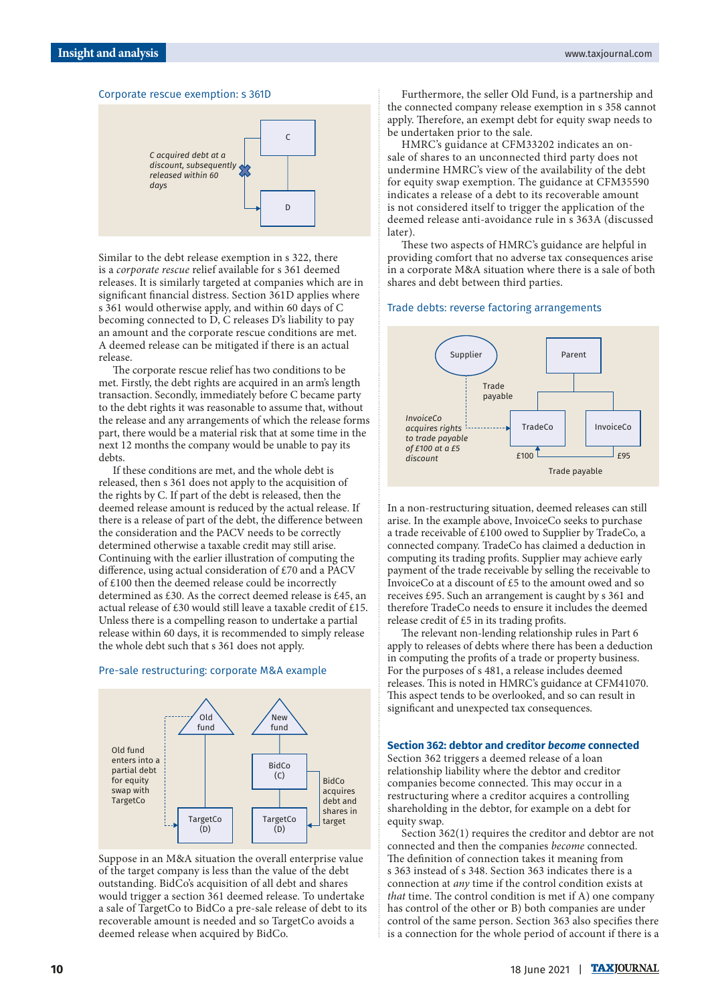#### Corporate rescue exemption: s 361D



Similar to the debt release exemption in s 322, there is a *corporate rescue* relief available for s 361 deemed releases. It is similarly targeted at companies which are in significant financial distress. Section 361D applies where s 361 would otherwise apply, and within 60 days of C becoming connected to D, C releases D's liability to pay an amount and the corporate rescue conditions are met. A deemed release can be mitigated if there is an actual release.

The corporate rescue relief has two conditions to be met. Firstly, the debt rights are acquired in an arm's length transaction. Secondly, immediately before C became party to the debt rights it was reasonable to assume that, without the release and any arrangements of which the release forms part, there would be a material risk that at some time in the next 12 months the company would be unable to pay its debts.

If these conditions are met, and the whole debt is released, then s 361 does not apply to the acquisition of the rights by C. If part of the debt is released, then the deemed release amount is reduced by the actual release. If there is a release of part of the debt, the difference between the consideration and the PACV needs to be correctly determined otherwise a taxable credit may still arise. Continuing with the earlier illustration of computing the difference, using actual consideration of £70 and a PACV of £100 then the deemed release could be incorrectly determined as £30. As the correct deemed release is £45, an actual release of £30 would still leave a taxable credit of £15. Unless there is a compelling reason to undertake a partial release within 60 days, it is recommended to simply release the whole debt such that s 361 does not apply.

# Pre-sale restructuring: corporate M&A example



Suppose in an M&A situation the overall enterprise value of the target company is less than the value of the debt outstanding. BidCo's acquisition of all debt and shares would trigger a section 361 deemed release. To undertake a sale of TargetCo to BidCo a pre-sale release of debt to its recoverable amount is needed and so TargetCo avoids a deemed release when acquired by BidCo.

Furthermore, the seller Old Fund, is a partnership and the connected company release exemption in s 358 cannot apply. Therefore, an exempt debt for equity swap needs to be undertaken prior to the sale.

HMRC's guidance at CFM33202 indicates an onsale of shares to an unconnected third party does not undermine HMRC's view of the availability of the debt for equity swap exemption. The guidance at CFM35590 indicates a release of a debt to its recoverable amount is not considered itself to trigger the application of the deemed release anti-avoidance rule in s 363A (discussed later).

These two aspects of HMRC's guidance are helpful in providing comfort that no adverse tax consequences arise in a corporate M&A situation where there is a sale of both shares and debt between third parties.

#### Trade debts: reverse factoring arrangements



In a non-restructuring situation, deemed releases can still arise. In the example above, InvoiceCo seeks to purchase a trade receivable of £100 owed to Supplier by TradeCo, a connected company. TradeCo has claimed a deduction in computing its trading profits. Supplier may achieve early payment of the trade receivable by selling the receivable to InvoiceCo at a discount of £5 to the amount owed and so receives £95. Such an arrangement is caught by s 361 and therefore TradeCo needs to ensure it includes the deemed release credit of £5 in its trading profits.

The relevant non-lending relationship rules in Part 6 apply to releases of debts where there has been a deduction in computing the profits of a trade or property business. For the purposes of s 481, a release includes deemed releases. This is noted in HMRC's guidance at CFM41070. This aspect tends to be overlooked, and so can result in significant and unexpected tax consequences.

#### **Section 362: debtor and creditor** *become* **connected**

Section 362 triggers a deemed release of a loan relationship liability where the debtor and creditor companies become connected. This may occur in a restructuring where a creditor acquires a controlling shareholding in the debtor, for example on a debt for equity swap.

Section 362(1) requires the creditor and debtor are not connected and then the companies *become* connected. The definition of connection takes it meaning from s 363 instead of s 348. Section 363 indicates there is a connection at *any* time if the control condition exists at *that* time. The control condition is met if A) one company has control of the other or B) both companies are under control of the same person. Section 363 also specifies there is a connection for the whole period of account if there is a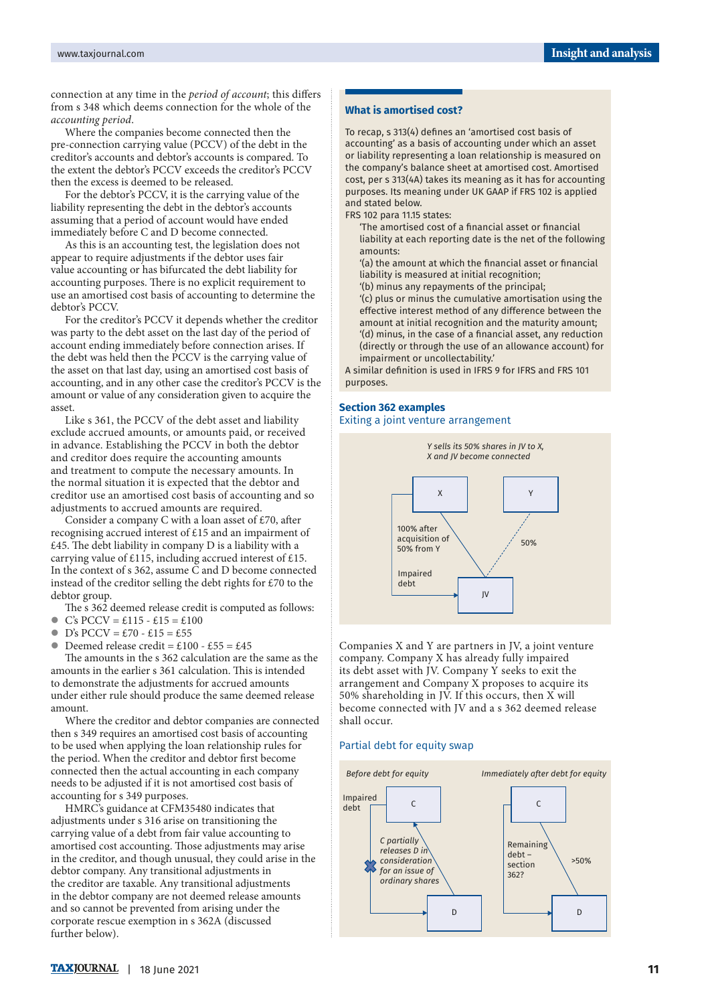connection at any time in the *period of account*; this differs from s 348 which deems connection for the whole of the *accounting period*.

Where the companies become connected then the pre-connection carrying value (PCCV) of the debt in the creditor's accounts and debtor's accounts is compared. To the extent the debtor's PCCV exceeds the creditor's PCCV then the excess is deemed to be released.

For the debtor's PCCV, it is the carrying value of the liability representing the debt in the debtor's accounts assuming that a period of account would have ended immediately before C and D become connected.

As this is an accounting test, the legislation does not appear to require adjustments if the debtor uses fair value accounting or has bifurcated the debt liability for accounting purposes. There is no explicit requirement to use an amortised cost basis of accounting to determine the debtor's PCCV.

For the creditor's PCCV it depends whether the creditor was party to the debt asset on the last day of the period of account ending immediately before connection arises. If the debt was held then the PCCV is the carrying value of the asset on that last day, using an amortised cost basis of accounting, and in any other case the creditor's PCCV is the amount or value of any consideration given to acquire the asset.

Like s 361, the PCCV of the debt asset and liability exclude accrued amounts, or amounts paid, or received in advance. Establishing the PCCV in both the debtor and creditor does require the accounting amounts and treatment to compute the necessary amounts. In the normal situation it is expected that the debtor and creditor use an amortised cost basis of accounting and so adjustments to accrued amounts are required.

Consider a company C with a loan asset of £70, after recognising accrued interest of £15 and an impairment of £45. The debt liability in company D is a liability with a carrying value of £115, including accrued interest of £15. In the context of s 362, assume C and D become connected instead of the creditor selling the debt rights for £70 to the debtor group.

The s 362 deemed release credit is computed as follows:

 $\bullet$  C's PCCV = £115 - £15 = £100

 $D's PCCV = £70 - £15 = £55$ <br>Deemed release credit = £10 Deemed release credit =  $£100 - £55 = £45$ 

The amounts in the s 362 calculation are the same as the amounts in the earlier s 361 calculation. This is intended to demonstrate the adjustments for accrued amounts under either rule should produce the same deemed release amount.

Where the creditor and debtor companies are connected then s 349 requires an amortised cost basis of accounting to be used when applying the loan relationship rules for the period. When the creditor and debtor first become connected then the actual accounting in each company needs to be adjusted if it is not amortised cost basis of accounting for s 349 purposes.

HMRC's guidance at CFM35480 indicates that adjustments under s 316 arise on transitioning the carrying value of a debt from fair value accounting to amortised cost accounting. Those adjustments may arise in the creditor, and though unusual, they could arise in the debtor company. Any transitional adjustments in the creditor are taxable. Any transitional adjustments in the debtor company are not deemed release amounts and so cannot be prevented from arising under the corporate rescue exemption in s 362A (discussed further below).

#### **What is amortised cost?**

To recap, s 313(4) defines an 'amortised cost basis of accounting' as a basis of accounting under which an asset or liability representing a loan relationship is measured on the company's balance sheet at amortised cost. Amortised cost, per s 313(4A) takes its meaning as it has for accounting purposes. Its meaning under UK GAAP if FRS 102 is applied and stated below.

FRS 102 para 11.15 states:

'The amortised cost of a financial asset or financial liability at each reporting date is the net of the following amounts:

'(a) the amount at which the financial asset or financial liability is measured at initial recognition;

'(b) minus any repayments of the principal;

'(c) plus or minus the cumulative amortisation using the effective interest method of any difference between the amount at initial recognition and the maturity amount; '(d) minus, in the case of a financial asset, any reduction (directly or through the use of an allowance account) for impairment or uncollectability.'

A similar definition is used in IFRS 9 for IFRS and FRS 101 purposes.

#### **Section 362 examples** Exiting a joint venture arrangement



Companies X and Y are partners in JV, a joint venture company. Company X has already fully impaired its debt asset with JV. Company Y seeks to exit the arrangement and Company X proposes to acquire its 50% shareholding in JV. If this occurs, then X will become connected with JV and a s 362 deemed release shall occur.

#### Partial debt for equity swap